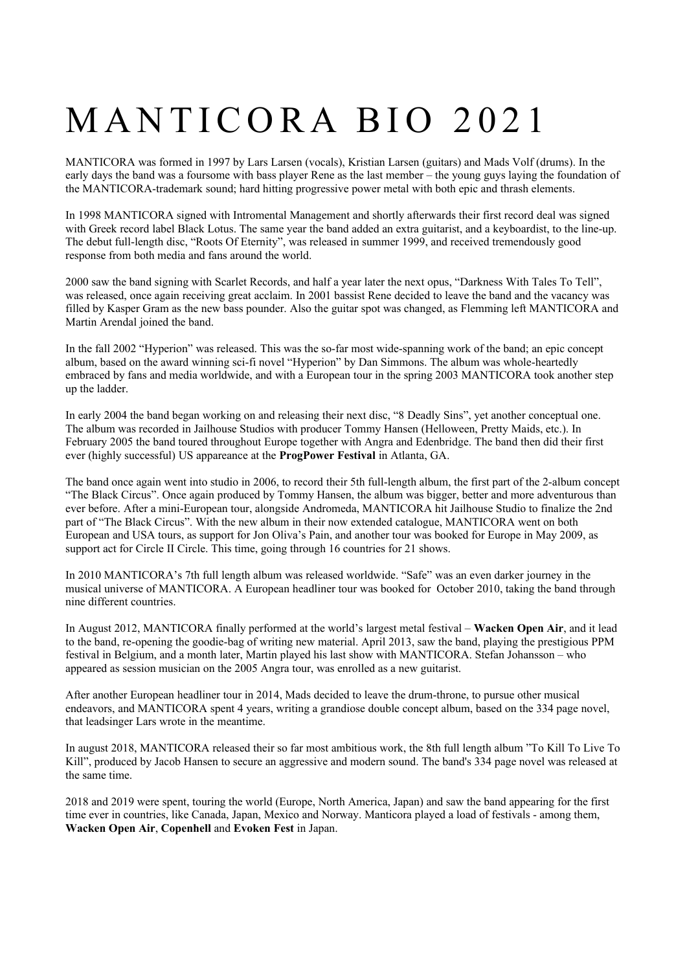# MANTICORA BIO 2021

MANTICORA was formed in 1997 by Lars Larsen (vocals), Kristian Larsen (guitars) and Mads Volf (drums). In the early days the band was a foursome with bass player Rene as the last member – the young guys laying the foundation of the MANTICORA-trademark sound; hard hitting progressive power metal with both epic and thrash elements.

In 1998 MANTICORA signed with Intromental Management and shortly afterwards their first record deal was signed with Greek record label Black Lotus. The same year the band added an extra guitarist, and a keyboardist, to the line-up. The debut full-length disc, "Roots Of Eternity", was released in summer 1999, and received tremendously good response from both media and fans around the world.

2000 saw the band signing with Scarlet Records, and half a year later the next opus, "Darkness With Tales To Tell", was released, once again receiving great acclaim. In 2001 bassist Rene decided to leave the band and the vacancy was filled by Kasper Gram as the new bass pounder. Also the guitar spot was changed, as Flemming left MANTICORA and Martin Arendal joined the band.

In the fall 2002 "Hyperion" was released. This was the so-far most wide-spanning work of the band; an epic concept album, based on the award winning sci-fi novel "Hyperion" by Dan Simmons. The album was whole-heartedly embraced by fans and media worldwide, and with a European tour in the spring 2003 MANTICORA took another step up the ladder.

In early 2004 the band began working on and releasing their next disc, "8 Deadly Sins", yet another conceptual one. The album was recorded in Jailhouse Studios with producer Tommy Hansen (Helloween, Pretty Maids, etc.). In February 2005 the band toured throughout Europe together with Angra and Edenbridge. The band then did their first ever (highly successful) US appareance at the **ProgPower Festival** in Atlanta, GA.

The band once again went into studio in 2006, to record their 5th full-length album, the first part of the 2-album concept "The Black Circus". Once again produced by Tommy Hansen, the album was bigger, better and more adventurous than ever before. After a mini-European tour, alongside Andromeda, MANTICORA hit Jailhouse Studio to finalize the 2nd part of "The Black Circus". With the new album in their now extended catalogue, MANTICORA went on both European and USA tours, as support for Jon Oliva's Pain, and another tour was booked for Europe in May 2009, as support act for Circle II Circle. This time, going through 16 countries for 21 shows.

In 2010 MANTICORA's 7th full length album was released worldwide. "Safe" was an even darker journey in the musical universe of MANTICORA. A European headliner tour was booked for October 2010, taking the band through nine different countries.

In August 2012, MANTICORA finally performed at the world's largest metal festival – **Wacken Open Air**, and it lead to the band, re-opening the goodie-bag of writing new material. April 2013, saw the band, playing the prestigious PPM festival in Belgium, and a month later, Martin played his last show with MANTICORA. Stefan Johansson – who appeared as session musician on the 2005 Angra tour, was enrolled as a new guitarist.

After another European headliner tour in 2014, Mads decided to leave the drum-throne, to pursue other musical endeavors, and MANTICORA spent 4 years, writing a grandiose double concept album, based on the 334 page novel, that leadsinger Lars wrote in the meantime.

In august 2018, MANTICORA released their so far most ambitious work, the 8th full length album "To Kill To Live To Kill", produced by Jacob Hansen to secure an aggressive and modern sound. The band's 334 page novel was released at the same time.

2018 and 2019 were spent, touring the world (Europe, North America, Japan) and saw the band appearing for the first time ever in countries, like Canada, Japan, Mexico and Norway. Manticora played a load of festivals - among them, **Wacken Open Air**, **Copenhell** and **Evoken Fest** in Japan.